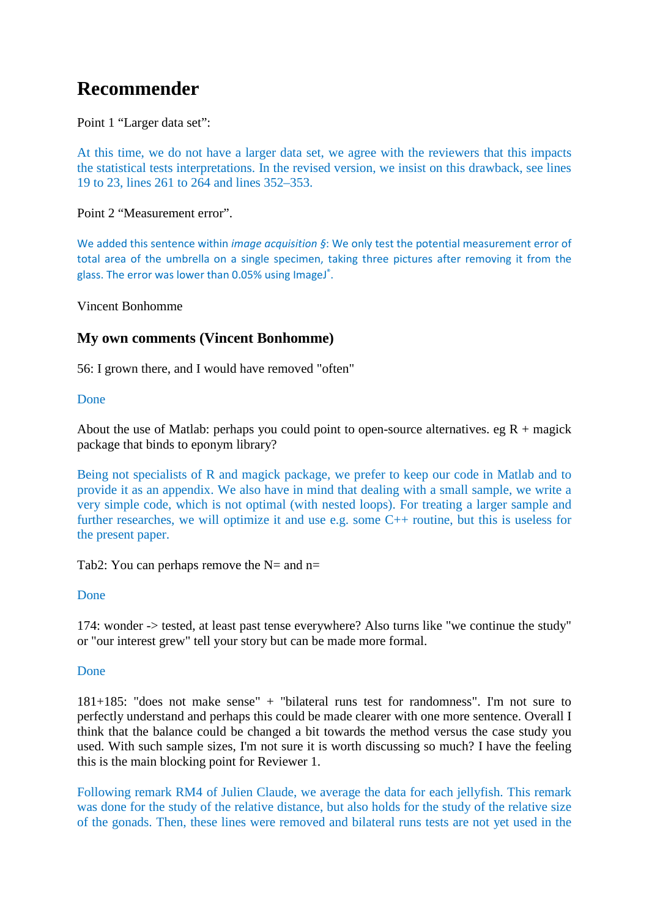# **Recommender**

Point 1 "Larger data set":

At this time, we do not have a larger data set, we agree with the reviewers that this impacts the statistical tests interpretations. In the revised version, we insist on this drawback, see lines 19 to 23, lines 261 to 264 and lines 352–353.

Point 2 "Measurement error".

We added this sentence within *image acquisition §*: We only test the potential measurement error of total area of the umbrella on a single specimen, taking three pictures after removing it from the glass. The error was lower than 0.05% using ImageJ<sup>®</sup>.

Vincent Bonhomme

### **My own comments (Vincent Bonhomme)**

56: I grown there, and I would have removed "often"

### Done

About the use of Matlab: perhaps you could point to open-source alternatives. eg  $R +$  magick package that binds to eponym library?

Being not specialists of R and magick package, we prefer to keep our code in Matlab and to provide it as an appendix. We also have in mind that dealing with a small sample, we write a very simple code, which is not optimal (with nested loops). For treating a larger sample and further researches, we will optimize it and use e.g. some C++ routine, but this is useless for the present paper.

### Tab2: You can perhaps remove the  $N=$  and n=

Done

174: wonder -> tested, at least past tense everywhere? Also turns like "we continue the study" or "our interest grew" tell your story but can be made more formal.

### Done

181+185: "does not make sense" + "bilateral runs test for randomness". I'm not sure to perfectly understand and perhaps this could be made clearer with one more sentence. Overall I think that the balance could be changed a bit towards the method versus the case study you used. With such sample sizes, I'm not sure it is worth discussing so much? I have the feeling this is the main blocking point for Reviewer 1.

Following remark RM4 of Julien Claude, we average the data for each jellyfish. This remark was done for the study of the relative distance, but also holds for the study of the relative size of the gonads. Then, these lines were removed and bilateral runs tests are not yet used in the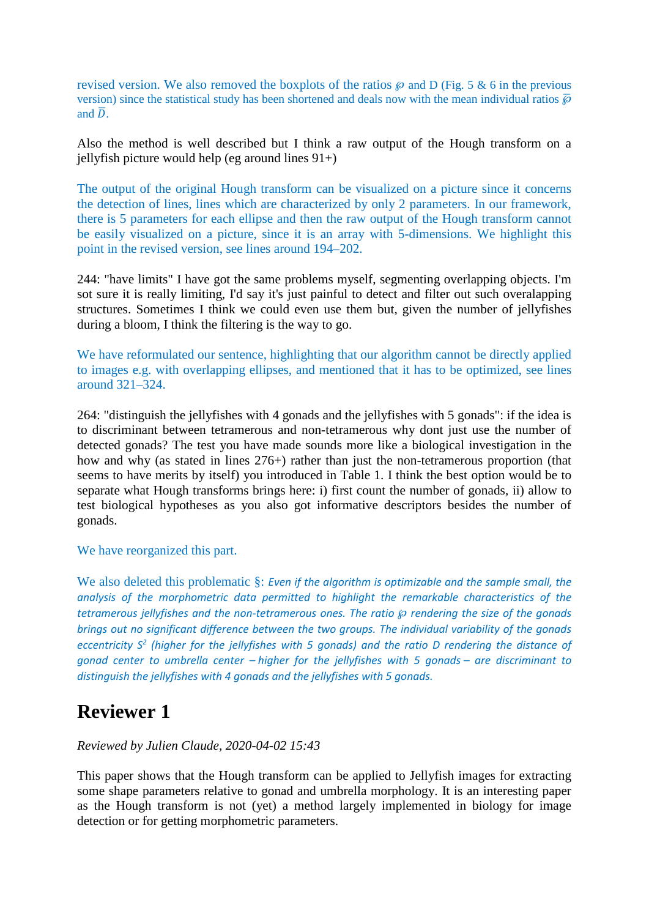revised version. We also removed the boxplots of the ratios  $\wp$  and D (Fig. 5 & 6 in the previous version) since the statistical study has been shortened and deals now with the mean individual ratios  $\bar{\varphi}$ and  $\overline{D}$ .

Also the method is well described but I think a raw output of the Hough transform on a jellyfish picture would help (eg around lines  $91+)$ 

The output of the original Hough transform can be visualized on a picture since it concerns the detection of lines, lines which are characterized by only 2 parameters. In our framework, there is 5 parameters for each ellipse and then the raw output of the Hough transform cannot be easily visualized on a picture, since it is an array with 5-dimensions. We highlight this point in the revised version, see lines around 194–202.

244: "have limits" I have got the same problems myself, segmenting overlapping objects. I'm sot sure it is really limiting, I'd say it's just painful to detect and filter out such overalapping structures. Sometimes I think we could even use them but, given the number of jellyfishes during a bloom, I think the filtering is the way to go.

We have reformulated our sentence, highlighting that our algorithm cannot be directly applied to images e.g. with overlapping ellipses, and mentioned that it has to be optimized, see lines around 321–324.

264: "distinguish the jellyfishes with 4 gonads and the jellyfishes with 5 gonads": if the idea is to discriminant between tetramerous and non-tetramerous why dont just use the number of detected gonads? The test you have made sounds more like a biological investigation in the how and why (as stated in lines 276+) rather than just the non-tetramerous proportion (that seems to have merits by itself) you introduced in Table 1. I think the best option would be to separate what Hough transforms brings here: i) first count the number of gonads, ii) allow to test biological hypotheses as you also got informative descriptors besides the number of gonads.

We have reorganized this part.

We also deleted this problematic §: *Even if the algorithm is optimizable and the sample small, the analysis of the morphometric data permitted to highlight the remarkable characteristics of the tetramerous jellyfishes and the non-tetramerous ones. The ratio*  $\wp$  *rendering the size of the gonads brings out no significant difference between the two groups. The individual variability of the gonads eccentricity S<sup>2</sup> (higher for the jellyfishes with 5 gonads) and the ratio D rendering the distance of gonad center to umbrella center – higher for the jellyfishes with 5 gonads – are discriminant to distinguish the jellyfishes with 4 gonads and the jellyfishes with 5 gonads.*

## **Reviewer 1**

### *Reviewed by Julien Claude, 2020-04-02 15:43*

This paper shows that the Hough transform can be applied to Jellyfish images for extracting some shape parameters relative to gonad and umbrella morphology. It is an interesting paper as the Hough transform is not (yet) a method largely implemented in biology for image detection or for getting morphometric parameters.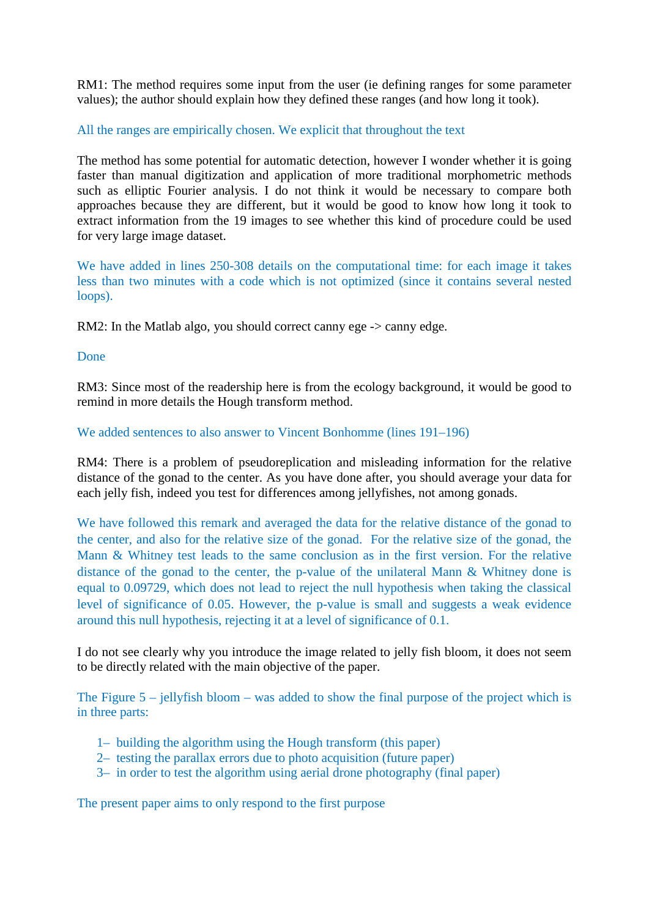RM1: The method requires some input from the user (ie defining ranges for some parameter values); the author should explain how they defined these ranges (and how long it took).

### All the ranges are empirically chosen. We explicit that throughout the text

The method has some potential for automatic detection, however I wonder whether it is going faster than manual digitization and application of more traditional morphometric methods such as elliptic Fourier analysis. I do not think it would be necessary to compare both approaches because they are different, but it would be good to know how long it took to extract information from the 19 images to see whether this kind of procedure could be used for very large image dataset.

We have added in lines 250-308 details on the computational time: for each image it takes less than two minutes with a code which is not optimized (since it contains several nested loops).

RM2: In the Matlab algo, you should correct canny ege -> canny edge.

Done

RM3: Since most of the readership here is from the ecology background, it would be good to remind in more details the Hough transform method.

### We added sentences to also answer to Vincent Bonhomme (lines 191–196)

RM4: There is a problem of pseudoreplication and misleading information for the relative distance of the gonad to the center. As you have done after, you should average your data for each jelly fish, indeed you test for differences among jellyfishes, not among gonads.

We have followed this remark and averaged the data for the relative distance of the gonad to the center, and also for the relative size of the gonad. For the relative size of the gonad, the Mann & Whitney test leads to the same conclusion as in the first version. For the relative distance of the gonad to the center, the p-value of the unilateral Mann & Whitney done is equal to 0.09729, which does not lead to reject the null hypothesis when taking the classical level of significance of 0.05. However, the p-value is small and suggests a weak evidence around this null hypothesis, rejecting it at a level of significance of 0.1.

I do not see clearly why you introduce the image related to jelly fish bloom, it does not seem to be directly related with the main objective of the paper.

The Figure 5 – jellyfish bloom – was added to show the final purpose of the project which is in three parts:

- 1– building the algorithm using the Hough transform (this paper)
- 2– testing the parallax errors due to photo acquisition (future paper)
- 3– in order to test the algorithm using aerial drone photography (final paper)

The present paper aims to only respond to the first purpose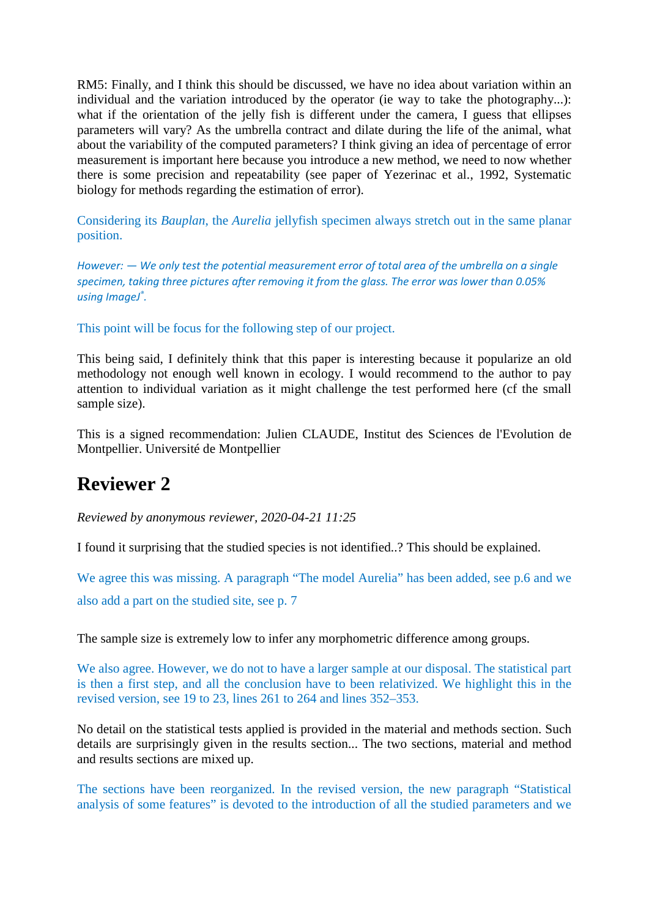RM5: Finally, and I think this should be discussed, we have no idea about variation within an individual and the variation introduced by the operator (ie way to take the photography...): what if the orientation of the jelly fish is different under the camera, I guess that ellipses parameters will vary? As the umbrella contract and dilate during the life of the animal, what about the variability of the computed parameters? I think giving an idea of percentage of error measurement is important here because you introduce a new method, we need to now whether there is some precision and repeatability (see paper of Yezerinac et al., 1992, Systematic biology for methods regarding the estimation of error).

Considering its *Bauplan*, the *Aurelia* jellyfish specimen always stretch out in the same planar position.

*However: — We only test the potential measurement error of total area of the umbrella on a single specimen, taking three pictures after removing it from the glass. The error was lower than 0.05% using ImageJ® .*

This point will be focus for the following step of our project.

This being said, I definitely think that this paper is interesting because it popularize an old methodology not enough well known in ecology. I would recommend to the author to pay attention to individual variation as it might challenge the test performed here (cf the small sample size).

This is a signed recommendation: Julien CLAUDE, Institut des Sciences de l'Evolution de Montpellier. Université de Montpellier

# **Reviewer 2**

*Reviewed by anonymous reviewer, 2020-04-21 11:25*

I found it surprising that the studied species is not identified..? This should be explained.

We agree this was missing. A paragraph "The model Aurelia" has been added, see p.6 and we also add a part on the studied site, see p. 7

The sample size is extremely low to infer any morphometric difference among groups.

We also agree. However, we do not to have a larger sample at our disposal. The statistical part is then a first step, and all the conclusion have to been relativized. We highlight this in the revised version, see 19 to 23, lines 261 to 264 and lines 352–353.

No detail on the statistical tests applied is provided in the material and methods section. Such details are surprisingly given in the results section... The two sections, material and method and results sections are mixed up.

The sections have been reorganized. In the revised version, the new paragraph "Statistical analysis of some features" is devoted to the introduction of all the studied parameters and we